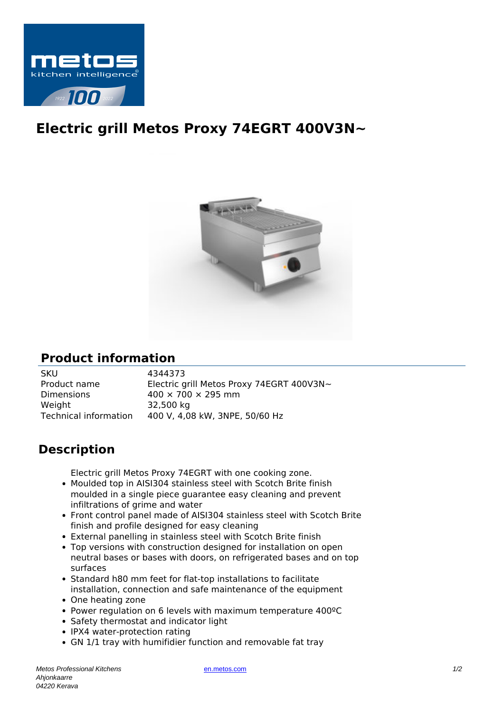

## **Electric grill Metos Proxy 74EGRT 400V3N~**



## **Product information**

SKU 4344373 Product name Electric grill Metos Proxy 74EGRT 400V3N~ Dimensions  $400 \times 700 \times 295$  mm Weight 32,500 kg Technical information 400 V, 4,08 kW, 3NPE, 50/60 Hz

## **Description**

Electric grill Metos Proxy 74EGRT with one cooking zone.

- Moulded top in AISI304 stainless steel with Scotch Brite finish moulded in a single piece guarantee easy cleaning and prevent infiltrations of grime and water
- Front control panel made of AISI304 stainless steel with Scotch Brite finish and profile designed for easy cleaning
- External panelling in stainless steel with Scotch Brite finish
- Top versions with construction designed for installation on open neutral bases or bases with doors, on refrigerated bases and on top surfaces
- Standard h80 mm feet for flat-top installations to facilitate installation, connection and safe maintenance of the equipment
- One heating zone
- Power regulation on 6 levels with maximum temperature 400ºC
- Safety thermostat and indicator light
- IPX4 water-protection rating
- GN 1/1 tray with humifidier function and removable fat tray